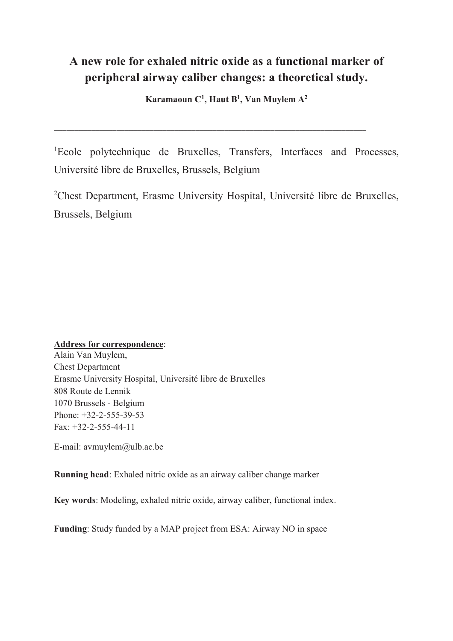# **A new role for exhaled nitric oxide as a functional marker of peripheral airway caliber changes: a theoretical study.**

**Karamaoun C<sup>1</sup> , Haut B<sup>1</sup> , Van Muylem A<sup>2</sup>**

\_\_\_\_\_\_\_\_\_\_\_\_\_\_\_\_\_\_\_\_\_\_\_\_\_\_\_\_\_\_\_\_\_\_\_\_\_\_\_\_\_\_\_\_\_\_\_\_\_\_\_\_\_\_\_\_\_\_\_\_\_\_\_\_\_\_\_\_\_\_\_\_\_\_\_

<sup>1</sup>Ecole polytechnique de Bruxelles, Transfers, Interfaces and Processes, Université libre de Bruxelles, Brussels, Belgium

<sup>2</sup>Chest Department, Erasme University Hospital, Université libre de Bruxelles, Brussels, Belgium

# **Address for correspondence**:

Alain Van Muylem, Chest Department Erasme University Hospital, Université libre de Bruxelles 808 Route de Lennik 1070 Brussels - Belgium Phone: +32-2-555-39-53 Fax: +32-2-555-44-11

E-mail: avmuylem@ulb.ac.be

**Running head**: Exhaled nitric oxide as an airway caliber change marker

**Key words**: Modeling, exhaled nitric oxide, airway caliber, functional index.

**Funding**: Study funded by a MAP project from ESA: Airway NO in space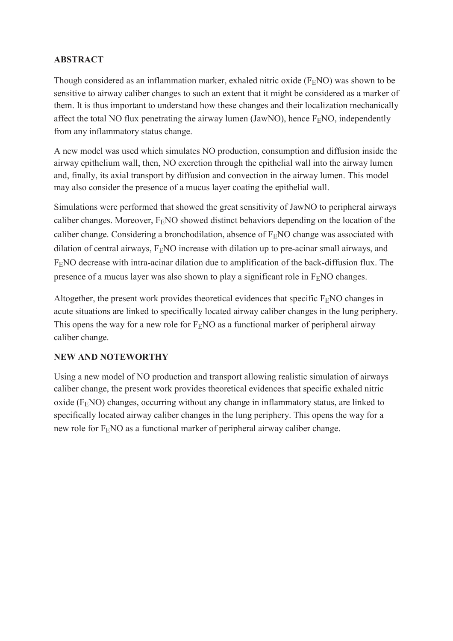# **ABSTRACT**

Though considered as an inflammation marker, exhaled nitric oxide  $(F_FNO)$  was shown to be sensitive to airway caliber changes to such an extent that it might be considered as a marker of them. It is thus important to understand how these changes and their localization mechanically affect the total NO flux penetrating the airway lumen (JawNO), hence  $F<sub>E</sub>NO$ , independently from any inflammatory status change.

A new model was used which simulates NO production, consumption and diffusion inside the airway epithelium wall, then, NO excretion through the epithelial wall into the airway lumen and, finally, its axial transport by diffusion and convection in the airway lumen. This model may also consider the presence of a mucus layer coating the epithelial wall.

Simulations were performed that showed the great sensitivity of JawNO to peripheral airways caliber changes. Moreover,  $F_F NO$  showed distinct behaviors depending on the location of the caliber change. Considering a bronchodilation, absence of  $F<sub>E</sub>NO$  change was associated with dilation of central airways,  $F<sub>E</sub>NO$  increase with dilation up to pre-acinar small airways, and  $F<sub>F</sub>NO$  decrease with intra-acinar dilation due to amplification of the back-diffusion flux. The presence of a mucus layer was also shown to play a significant role in  $F<sub>E</sub>NO$  changes.

Altogether, the present work provides theoretical evidences that specific  $F<sub>E</sub>NO$  changes in acute situations are linked to specifically located airway caliber changes in the lung periphery. This opens the way for a new role for  $F_FNO$  as a functional marker of peripheral airway caliber change.

# **NEW AND NOTEWORTHY**

Using a new model of NO production and transport allowing realistic simulation of airways caliber change, the present work provides theoretical evidences that specific exhaled nitric oxide ( $F<sub>E</sub>NO$ ) changes, occurring without any change in inflammatory status, are linked to specifically located airway caliber changes in the lung periphery. This opens the way for a new role for  $F<sub>E</sub>NO$  as a functional marker of peripheral airway caliber change.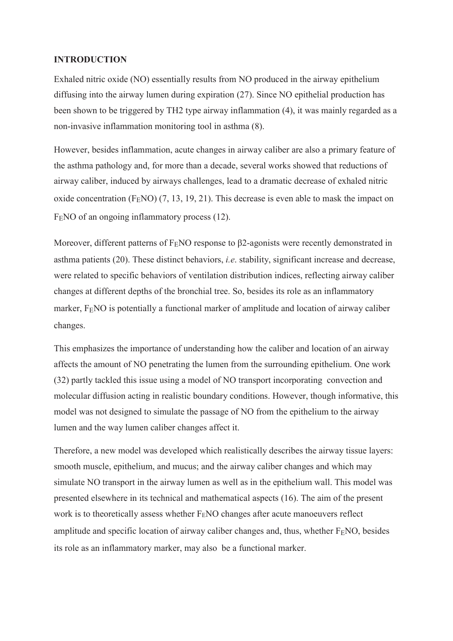#### **INTRODUCTION**

Exhaled nitric oxide (NO) essentially results from NO produced in the airway epithelium diffusing into the airway lumen during expiration (27). Since NO epithelial production has been shown to be triggered by TH2 type airway inflammation (4), it was mainly regarded as a non-invasive inflammation monitoring tool in asthma (8).

However, besides inflammation, acute changes in airway caliber are also a primary feature of the asthma pathology and, for more than a decade, several works showed that reductions of airway caliber, induced by airways challenges, lead to a dramatic decrease of exhaled nitric oxide concentration  $(F<sub>E</sub>NO)$  (7, 13, 19, 21). This decrease is even able to mask the impact on F<sub>E</sub>NO of an ongoing inflammatory process (12).

Moreover, different patterns of  $F<sub>E</sub>NO$  response to  $\beta$ 2-agonists were recently demonstrated in asthma patients (20). These distinct behaviors, *i.e*. stability, significant increase and decrease, were related to specific behaviors of ventilation distribution indices, reflecting airway caliber changes at different depths of the bronchial tree. So, besides its role as an inflammatory marker,  $F<sub>E</sub>NO$  is potentially a functional marker of amplitude and location of airway caliber changes.

This emphasizes the importance of understanding how the caliber and location of an airway affects the amount of NO penetrating the lumen from the surrounding epithelium. One work (32) partly tackled this issue using a model of NO transport incorporating convection and molecular diffusion acting in realistic boundary conditions. However, though informative, this model was not designed to simulate the passage of NO from the epithelium to the airway lumen and the way lumen caliber changes affect it.

Therefore, a new model was developed which realistically describes the airway tissue layers: smooth muscle, epithelium, and mucus; and the airway caliber changes and which may simulate NO transport in the airway lumen as well as in the epithelium wall. This model was presented elsewhere in its technical and mathematical aspects (16). The aim of the present work is to theoretically assess whether  $F<sub>E</sub>NO$  changes after acute manoeuvers reflect amplitude and specific location of airway caliber changes and, thus, whether  $F<sub>F</sub>NO$ , besides its role as an inflammatory marker, may also be a functional marker.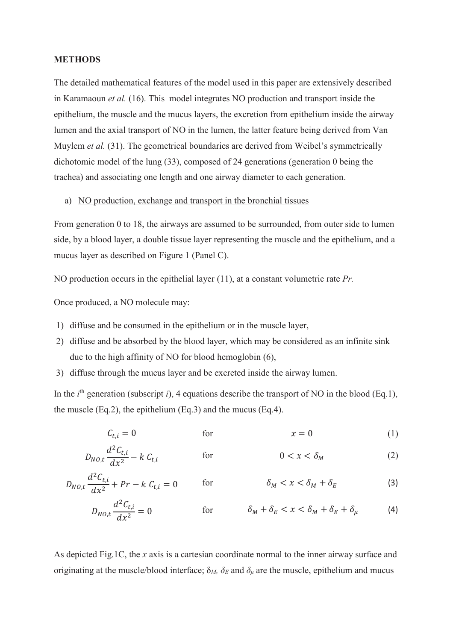#### **METHODS**

The detailed mathematical features of the model used in this paper are extensively described in Karamaoun *et al.* (16). This model integrates NO production and transport inside the epithelium, the muscle and the mucus layers, the excretion from epithelium inside the airway lumen and the axial transport of NO in the lumen, the latter feature being derived from Van Muylem *et al.* (31). The geometrical boundaries are derived from Weibel's symmetrically dichotomic model of the lung (33), composed of 24 generations (generation 0 being the trachea) and associating one length and one airway diameter to each generation.

#### a) NO production, exchange and transport in the bronchial tissues

From generation 0 to 18, the airways are assumed to be surrounded, from outer side to lumen side, by a blood layer, a double tissue layer representing the muscle and the epithelium, and a mucus layer as described on Figure 1 (Panel C).

NO production occurs in the epithelial layer (11), at a constant volumetric rate *Pr.*

Once produced, a NO molecule may:

- 1) diffuse and be consumed in the epithelium or in the muscle layer,
- 2) diffuse and be absorbed by the blood layer, which may be considered as an infinite sink due to the high affinity of NO for blood hemoglobin (6),
- 3) diffuse through the mucus layer and be excreted inside the airway lumen.

In the  $i<sup>th</sup>$  generation (subscript  $i$ ), 4 equations describe the transport of NO in the blood (Eq.1), the muscle  $(Eq.2)$ , the epithelium  $(Eq.3)$  and the mucus  $(Eq.4)$ .

$$
C_{t,i} = 0 \qquad \text{for} \qquad \qquad x = 0 \tag{1}
$$

$$
D_{NO,t} \frac{d^2 C_{t,i}}{dx^2} - k C_{t,i} \qquad \text{for} \qquad 0 < x < \delta_M \tag{2}
$$

$$
D_{NO,t} \frac{d^2 C_{t,i}}{dx^2} + Pr - k C_{t,i} = 0 \qquad \text{for} \qquad \delta_M < x < \delta_M + \delta_E \tag{3}
$$

$$
D_{NO,t} \frac{d^2 C_{t,i}}{dx^2} = 0 \qquad \qquad \text{for} \qquad \qquad \delta_M + \delta_E < x < \delta_M + \delta_E + \delta_\mu \qquad \qquad \text{(4)}
$$

As depicted Fig.1C, the *x* axis is a cartesian coordinate normal to the inner airway surface and originating at the muscle/blood interface;  $\delta_M$ ,  $\delta_E$  and  $\delta_\mu$  are the muscle, epithelium and mucus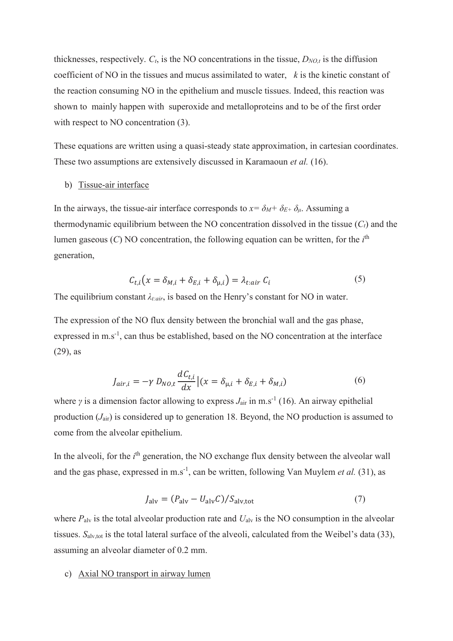thicknesses, respectively.  $C_t$ , is the NO concentrations in the tissue,  $D_{NO,t}$  is the diffusion coefficient of NO in the tissues and mucus assimilated to water, *k* is the kinetic constant of the reaction consuming NO in the epithelium and muscle tissues. Indeed, this reaction was shown to mainly happen with superoxide and metalloproteins and to be of the first order with respect to NO concentration  $(3)$ .

These equations are written using a quasi-steady state approximation, in cartesian coordinates. These two assumptions are extensively discussed in Karamaoun *et al.* (16).

#### b) Tissue-air interface

In the airways, the tissue-air interface corresponds to  $x = \delta_M + \delta_{E+} \delta_\mu$ . Assuming a thermodynamic equilibrium between the NO concentration dissolved in the tissue (*Ct*) and the lumen gaseous (*C*) NO concentration, the following equation can be written, for the *i*th generation,

$$
C_{t,i}(x = \delta_{M,i} + \delta_{E,i} + \delta_{\mu,i}) = \lambda_{t:air} C_i
$$
\n(5)

The equilibrium constant  $\lambda_{\text{tair}}$ , is based on the Henry's constant for NO in water.

The expression of the NO flux density between the bronchial wall and the gas phase, expressed in m.s<sup>-1</sup>, can thus be established, based on the NO concentration at the interface (29), as

$$
J_{air,i} = -\gamma D_{NO,t} \frac{dC_{t,i}}{dx} \left| (x = \delta_{\mu,i} + \delta_{E,i} + \delta_{M,i}) \right| \tag{6}
$$

where *γ* is a dimension factor allowing to express  $J_{\text{air}}$  in m.s<sup>-1</sup> (16). An airway epithelial production (*J*air) is considered up to generation 18. Beyond, the NO production is assumed to come from the alveolar epithelium.

In the alveoli, for the *i*<sup>th</sup> generation, the NO exchange flux density between the alveolar wall and the gas phase, expressed in m.s<sup>-1</sup>, can be written, following Van Muylem *et al.* (31), as

$$
J_{\rm alv} = (P_{\rm alv} - U_{\rm alv}C)/S_{\rm alv,tot}
$$
\n<sup>(7)</sup>

where  $P_{\text{alv}}$  is the total alveolar production rate and  $U_{\text{alv}}$  is the NO consumption in the alveolar tissues.  $S_{\text{alv,tot}}$  is the total lateral surface of the alveoli, calculated from the Weibel's data (33), assuming an alveolar diameter of 0.2 mm.

#### c) Axial NO transport in airway lumen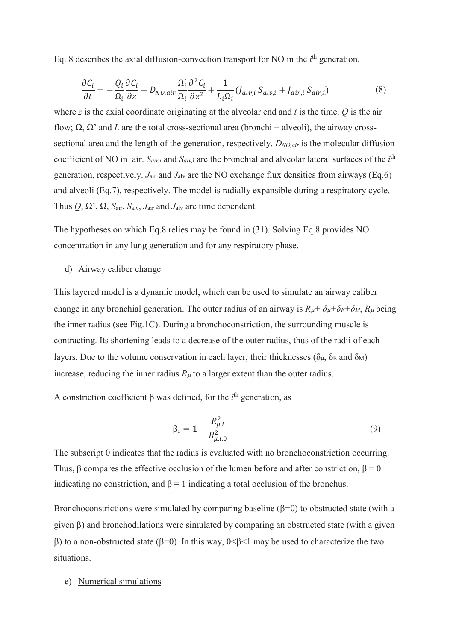Eq. 8 describes the axial diffusion-convection transport for NO in the *i*th generation.

$$
\frac{\partial C_i}{\partial t} = -\frac{Q_i}{\Omega_i} \frac{\partial C_i}{\partial z} + D_{NO,air} \frac{\Omega'_i}{\Omega_i} \frac{\partial^2 C_i}{\partial z^2} + \frac{1}{L_i \Omega_i} (J_{alv,i} S_{alv,i} + J_{air,i} S_{air,i}) \tag{8}
$$

where *z* is the axial coordinate originating at the alveolar end and *t* is the time. *Q* is the air flow; Ω, Ω' and *L* are the total cross-sectional area (bronchi + alveoli), the airway crosssectional area and the length of the generation, respectively. *DNO,air* is the molecular diffusion coefficient of NO in air.  $S_{air,i}$  and  $S_{alv,i}$  are the bronchial and alveolar lateral surfaces of the  $i<sup>th</sup>$ generation, respectively. *J*air and *J*alv are the NO exchange flux densities from airways (Eq.6) and alveoli (Eq.7), respectively. The model is radially expansible during a respiratory cycle. Thus  $Q, \Omega, \Omega, S_{\text{air}}, S_{\text{alv}}, J_{\text{air}}$  and  $J_{\text{alv}}$  are time dependent.

The hypotheses on which Eq.8 relies may be found in (31). Solving Eq.8 provides NO concentration in any lung generation and for any respiratory phase.

#### d) Airway caliber change

This layered model is a dynamic model, which can be used to simulate an airway caliber change in any bronchial generation. The outer radius of an airway is  $R_{\mu} + \delta_{\mu} + \delta_E + \delta_M$ ,  $R_{\mu}$  being the inner radius (see Fig.1C). During a bronchoconstriction, the surrounding muscle is contracting. Its shortening leads to a decrease of the outer radius, thus of the radii of each layers. Due to the volume conservation in each layer, their thicknesses ( $\delta_{\mu}$ ,  $\delta_{\rm E}$  and  $\delta_{\rm M}$ ) increase, reducing the inner radius  $R_{\mu}$  to a larger extent than the outer radius.

A constriction coefficient  $\beta$  was defined, for the *i*<sup>th</sup> generation, as

$$
\beta_i = 1 - \frac{R_{\mu,i}^2}{R_{\mu,i,0}^2} \tag{9}
$$

The subscript 0 indicates that the radius is evaluated with no bronchoconstriction occurring. Thus, β compares the effective occlusion of the lumen before and after constriction,  $β = 0$ indicating no constriction, and  $\beta = 1$  indicating a total occlusion of the bronchus.

Bronchoconstrictions were simulated by comparing baseline  $(\beta=0)$  to obstructed state (with a given  $\beta$ ) and bronchodilations were simulated by comparing an obstructed state (with a given  $\beta$ ) to a non-obstructed state ( $\beta$ =0). In this way, 0< $\beta$ <1 may be used to characterize the two situations.

#### e) Numerical simulations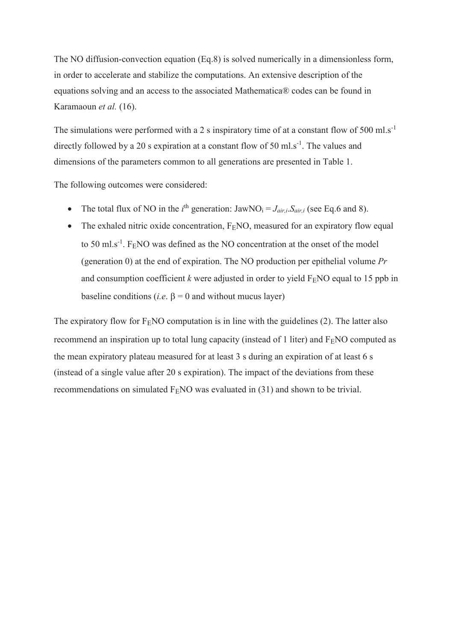The NO diffusion-convection equation (Eq.8) is solved numerically in a dimensionless form, in order to accelerate and stabilize the computations. An extensive description of the equations solving and an access to the associated Mathematica® codes can be found in Karamaoun *et al.* (16).

The simulations were performed with a 2 s inspiratory time of at a constant flow of 500 ml.s<sup>-1</sup> directly followed by a 20 s expiration at a constant flow of 50 ml.s<sup>-1</sup>. The values and dimensions of the parameters common to all generations are presented in Table 1.

The following outcomes were considered:

- The total flux of NO in the *i*<sup>th</sup> generation:  $JawNO_i = J_{air,i}.S_{air,i}$  (see Eq.6 and 8).
- The exhaled nitric oxide concentration,  $F_F NO$ , measured for an expiratory flow equal to 50 ml.s<sup>-1</sup>. F<sub>E</sub>NO was defined as the NO concentration at the onset of the model (generation 0) at the end of expiration. The NO production per epithelial volume *Pr* and consumption coefficient  $k$  were adjusted in order to yield  $F<sub>E</sub>NO$  equal to 15 ppb in baseline conditions (*i.e.*  $\beta = 0$  and without mucus layer)

The expiratory flow for  $F<sub>E</sub>NO$  computation is in line with the guidelines (2). The latter also recommend an inspiration up to total lung capacity (instead of 1 liter) and  $F<sub>E</sub>NO$  computed as the mean expiratory plateau measured for at least 3 s during an expiration of at least 6 s (instead of a single value after 20 s expiration). The impact of the deviations from these recommendations on simulated  $F<sub>E</sub>NO$  was evaluated in (31) and shown to be trivial.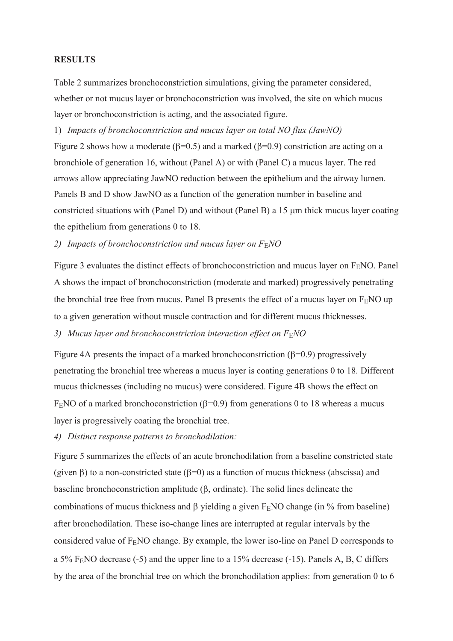#### **RESULTS**

Table 2 summarizes bronchoconstriction simulations, giving the parameter considered, whether or not mucus layer or bronchoconstriction was involved, the site on which mucus layer or bronchoconstriction is acting, and the associated figure.

1) *Impacts of bronchoconstriction and mucus layer on total NO flux (JawNO)*

Figure 2 shows how a moderate ( $\beta$ =0.5) and a marked ( $\beta$ =0.9) constriction are acting on a bronchiole of generation 16, without (Panel A) or with (Panel C) a mucus layer. The red arrows allow appreciating JawNO reduction between the epithelium and the airway lumen. Panels B and D show JawNO as a function of the generation number in baseline and constricted situations with (Panel D) and without (Panel B) a  $15 \mu m$  thick mucus layer coating the epithelium from generations 0 to 18.

2) *Impacts of bronchoconstriction and mucus layer on F<sub>E</sub>NO* 

Figure 3 evaluates the distinct effects of bronchoconstriction and mucus layer on  $F<sub>E</sub>NO$ . Panel A shows the impact of bronchoconstriction (moderate and marked) progressively penetrating the bronchial tree free from mucus. Panel B presents the effect of a mucus layer on  $F<sub>E</sub>NO$  up to a given generation without muscle contraction and for different mucus thicknesses.

*3) Mucus layer and bronchoconstriction interaction effect on F*E*NO* 

Figure 4A presents the impact of a marked bronchoconstriction  $(\beta=0.9)$  progressively penetrating the bronchial tree whereas a mucus layer is coating generations 0 to 18. Different mucus thicknesses (including no mucus) were considered. Figure 4B shows the effect on F<sub>E</sub>NO of a marked bronchoconstriction ( $\beta$ =0.9) from generations 0 to 18 whereas a mucus layer is progressively coating the bronchial tree.

*4) Distinct response patterns to bronchodilation:* 

Figure 5 summarizes the effects of an acute bronchodilation from a baseline constricted state (given  $\beta$ ) to a non-constricted state ( $\beta$ =0) as a function of mucus thickness (abscissa) and baseline bronchoconstriction amplitude  $(\beta, \text{ordinate})$ . The solid lines delineate the combinations of mucus thickness and  $\beta$  yielding a given F<sub>E</sub>NO change (in % from baseline) after bronchodilation. These iso-change lines are interrupted at regular intervals by the considered value of  $F<sub>E</sub>NO$  change. By example, the lower iso-line on Panel D corresponds to a 5% FENO decrease (-5) and the upper line to a 15% decrease (-15). Panels A, B, C differs by the area of the bronchial tree on which the bronchodilation applies: from generation 0 to 6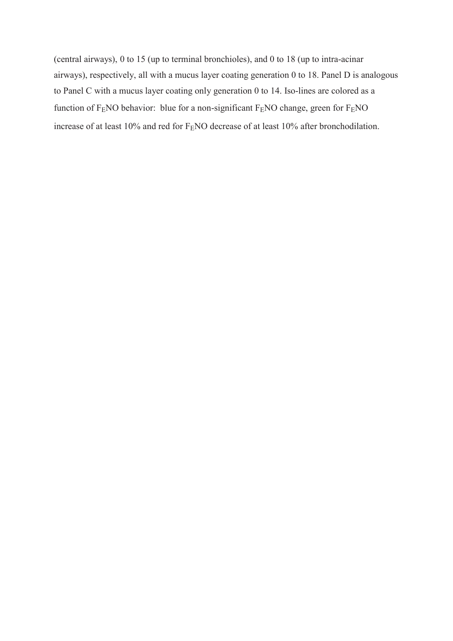(central airways), 0 to 15 (up to terminal bronchioles), and 0 to 18 (up to intra-acinar airways), respectively, all with a mucus layer coating generation 0 to 18. Panel D is analogous to Panel C with a mucus layer coating only generation 0 to 14. Iso-lines are colored as a function of  $F<sub>E</sub>NO$  behavior: blue for a non-significant  $F<sub>E</sub>NO$  change, green for  $F<sub>E</sub>NO$ increase of at least 10% and red for F<sub>E</sub>NO decrease of at least 10% after bronchodilation.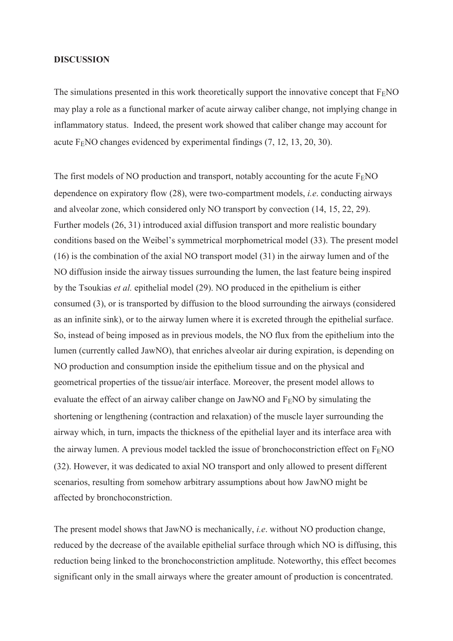#### **DISCUSSION**

The simulations presented in this work theoretically support the innovative concept that  $F<sub>E</sub>NO$ may play a role as a functional marker of acute airway caliber change, not implying change in inflammatory status. Indeed, the present work showed that caliber change may account for acute  $F<sub>E</sub>NO$  changes evidenced by experimental findings  $(7, 12, 13, 20, 30)$ .

The first models of NO production and transport, notably accounting for the acute  $F<sub>E</sub>NO$ dependence on expiratory flow (28), were two-compartment models, *i.e*. conducting airways and alveolar zone, which considered only NO transport by convection (14, 15, 22, 29). Further models (26, 31) introduced axial diffusion transport and more realistic boundary conditions based on the Weibel's symmetrical morphometrical model (33). The present model (16) is the combination of the axial NO transport model (31) in the airway lumen and of the NO diffusion inside the airway tissues surrounding the lumen, the last feature being inspired by the Tsoukias *et al.* epithelial model (29). NO produced in the epithelium is either consumed (3), or is transported by diffusion to the blood surrounding the airways (considered as an infinite sink), or to the airway lumen where it is excreted through the epithelial surface. So, instead of being imposed as in previous models, the NO flux from the epithelium into the lumen (currently called JawNO), that enriches alveolar air during expiration, is depending on NO production and consumption inside the epithelium tissue and on the physical and geometrical properties of the tissue/air interface. Moreover, the present model allows to evaluate the effect of an airway caliber change on JawNO and  $F<sub>E</sub>NO$  by simulating the shortening or lengthening (contraction and relaxation) of the muscle layer surrounding the airway which, in turn, impacts the thickness of the epithelial layer and its interface area with the airway lumen. A previous model tackled the issue of bronchoconstriction effect on  $F<sub>F</sub>NO$ (32). However, it was dedicated to axial NO transport and only allowed to present different scenarios, resulting from somehow arbitrary assumptions about how JawNO might be affected by bronchoconstriction.

The present model shows that JawNO is mechanically, *i.e*. without NO production change, reduced by the decrease of the available epithelial surface through which NO is diffusing, this reduction being linked to the bronchoconstriction amplitude. Noteworthy, this effect becomes significant only in the small airways where the greater amount of production is concentrated.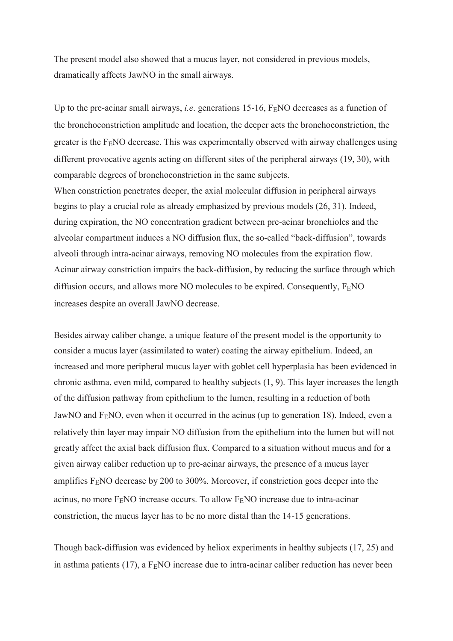The present model also showed that a mucus layer, not considered in previous models, dramatically affects JawNO in the small airways.

Up to the pre-acinar small airways, *i.e.* generations 15-16, F<sub>E</sub>NO decreases as a function of the bronchoconstriction amplitude and location, the deeper acts the bronchoconstriction, the greater is the  $F<sub>E</sub>NO$  decrease. This was experimentally observed with airway challenges using different provocative agents acting on different sites of the peripheral airways (19, 30), with comparable degrees of bronchoconstriction in the same subjects.

When constriction penetrates deeper, the axial molecular diffusion in peripheral airways begins to play a crucial role as already emphasized by previous models (26, 31). Indeed, during expiration, the NO concentration gradient between pre-acinar bronchioles and the alveolar compartment induces a NO diffusion flux, the so-called "back-diffusion", towards alveoli through intra-acinar airways, removing NO molecules from the expiration flow. Acinar airway constriction impairs the back-diffusion, by reducing the surface through which diffusion occurs, and allows more NO molecules to be expired. Consequently,  $F<sub>F</sub>NO$ increases despite an overall JawNO decrease.

Besides airway caliber change, a unique feature of the present model is the opportunity to consider a mucus layer (assimilated to water) coating the airway epithelium. Indeed, an increased and more peripheral mucus layer with goblet cell hyperplasia has been evidenced in chronic asthma, even mild, compared to healthy subjects (1, 9). This layer increases the length of the diffusion pathway from epithelium to the lumen, resulting in a reduction of both JawNO and  $F<sub>E</sub>NO$ , even when it occurred in the acinus (up to generation 18). Indeed, even a relatively thin layer may impair NO diffusion from the epithelium into the lumen but will not greatly affect the axial back diffusion flux. Compared to a situation without mucus and for a given airway caliber reduction up to pre-acinar airways, the presence of a mucus layer amplifies F<sub>E</sub>NO decrease by 200 to 300%. Moreover, if constriction goes deeper into the acinus, no more  $F<sub>E</sub>NO$  increase occurs. To allow  $F<sub>E</sub>NO$  increase due to intra-acinar constriction, the mucus layer has to be no more distal than the 14-15 generations.

Though back-diffusion was evidenced by heliox experiments in healthy subjects (17, 25) and in asthma patients (17), a  $F<sub>E</sub>NO$  increase due to intra-acinar caliber reduction has never been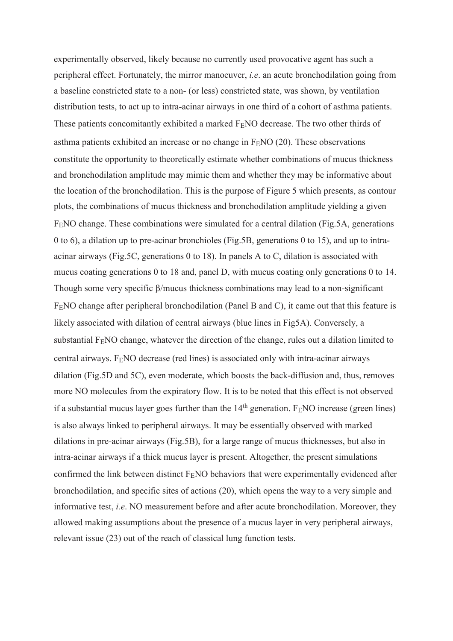experimentally observed, likely because no currently used provocative agent has such a peripheral effect. Fortunately, the mirror manoeuver, *i.e*. an acute bronchodilation going from a baseline constricted state to a non- (or less) constricted state, was shown, by ventilation distribution tests, to act up to intra-acinar airways in one third of a cohort of asthma patients. These patients concomitantly exhibited a marked  $F<sub>F</sub>NO$  decrease. The two other thirds of asthma patients exhibited an increase or no change in  $F<sub>F</sub>NO$  (20). These observations constitute the opportunity to theoretically estimate whether combinations of mucus thickness and bronchodilation amplitude may mimic them and whether they may be informative about the location of the bronchodilation. This is the purpose of Figure 5 which presents, as contour plots, the combinations of mucus thickness and bronchodilation amplitude yielding a given FENO change. These combinations were simulated for a central dilation (Fig.5A, generations 0 to 6), a dilation up to pre-acinar bronchioles (Fig.5B, generations 0 to 15), and up to intraacinar airways (Fig.5C, generations 0 to 18). In panels A to C, dilation is associated with mucus coating generations 0 to 18 and, panel D, with mucus coating only generations 0 to 14. Though some very specific  $\beta$ /mucus thickness combinations may lead to a non-significant F<sub>E</sub>NO change after peripheral bronchodilation (Panel B and C), it came out that this feature is likely associated with dilation of central airways (blue lines in Fig5A). Conversely, a substantial F<sub>E</sub>NO change, whatever the direction of the change, rules out a dilation limited to central airways.  $F<sub>E</sub>NO$  decrease (red lines) is associated only with intra-acinar airways dilation (Fig.5D and 5C), even moderate, which boosts the back-diffusion and, thus, removes more NO molecules from the expiratory flow. It is to be noted that this effect is not observed if a substantial mucus layer goes further than the  $14<sup>th</sup>$  generation. F<sub>E</sub>NO increase (green lines) is also always linked to peripheral airways. It may be essentially observed with marked dilations in pre-acinar airways (Fig.5B), for a large range of mucus thicknesses, but also in intra-acinar airways if a thick mucus layer is present. Altogether, the present simulations confirmed the link between distinct  $F<sub>E</sub>NO$  behaviors that were experimentally evidenced after bronchodilation, and specific sites of actions (20), which opens the way to a very simple and informative test, *i.e*. NO measurement before and after acute bronchodilation. Moreover, they allowed making assumptions about the presence of a mucus layer in very peripheral airways, relevant issue (23) out of the reach of classical lung function tests.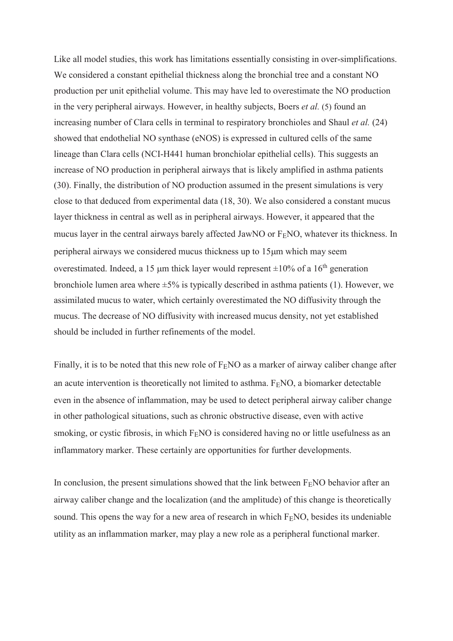Like all model studies, this work has limitations essentially consisting in over-simplifications. We considered a constant epithelial thickness along the bronchial tree and a constant NO production per unit epithelial volume. This may have led to overestimate the NO production in the very peripheral airways. However, in healthy subjects, Boers *et al.* (5) found an increasing number of Clara cells in terminal to respiratory bronchioles and Shaul *et al.* (24) showed that endothelial NO synthase (eNOS) is expressed in cultured cells of the same lineage than Clara cells (NCI-H441 human bronchiolar epithelial cells). This suggests an increase of NO production in peripheral airways that is likely amplified in asthma patients (30). Finally, the distribution of NO production assumed in the present simulations is very close to that deduced from experimental data (18, 30). We also considered a constant mucus layer thickness in central as well as in peripheral airways. However, it appeared that the mucus layer in the central airways barely affected JawNO or  $F<sub>E</sub>NO$ , whatever its thickness. In peripheral airways we considered mucus thickness up to  $15\mu m$  which may seem overestimated. Indeed, a 15  $\mu$ m thick layer would represent  $\pm 10\%$  of a 16<sup>th</sup> generation bronchiole lumen area where ±5% is typically described in asthma patients (1). However, we assimilated mucus to water, which certainly overestimated the NO diffusivity through the mucus. The decrease of NO diffusivity with increased mucus density, not yet established should be included in further refinements of the model.

Finally, it is to be noted that this new role of  $F<sub>E</sub>NO$  as a marker of airway caliber change after an acute intervention is theoretically not limited to asthma.  $F<sub>E</sub>NO$ , a biomarker detectable even in the absence of inflammation, may be used to detect peripheral airway caliber change in other pathological situations, such as chronic obstructive disease, even with active smoking, or cystic fibrosis, in which  $F<sub>E</sub>NO$  is considered having no or little usefulness as an inflammatory marker. These certainly are opportunities for further developments.

In conclusion, the present simulations showed that the link between  $F<sub>E</sub>NO$  behavior after an airway caliber change and the localization (and the amplitude) of this change is theoretically sound. This opens the way for a new area of research in which  $F<sub>E</sub>NO$ , besides its undeniable utility as an inflammation marker, may play a new role as a peripheral functional marker.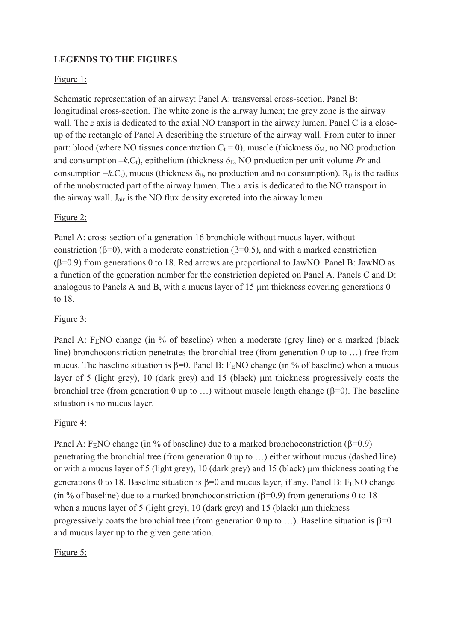# **LEGENDS TO THE FIGURES**

# Figure 1:

Schematic representation of an airway: Panel A: transversal cross-section. Panel B: longitudinal cross-section. The white zone is the airway lumen; the grey zone is the airway wall. The *z* axis is dedicated to the axial NO transport in the airway lumen. Panel C is a closeup of the rectangle of Panel A describing the structure of the airway wall. From outer to inner part: blood (where NO tissues concentration  $C_t = 0$ ), muscle (thickness  $\delta_M$ , no NO production and consumption  $-k.C_t$ , epithelium (thickness  $\delta_E$ , NO production per unit volume *Pr* and consumption –*k*.C<sub>t</sub>), mucus (thickness  $\delta_{\mu}$ , no production and no consumption). R<sub> $\mu$ </sub> is the radius of the unobstructed part of the airway lumen. The *x* axis is dedicated to the NO transport in the airway wall. J<sub>air</sub> is the NO flux density excreted into the airway lumen.

# Figure 2:

Panel A: cross-section of a generation 16 bronchiole without mucus layer, without constriction ( $\beta$ =0), with a moderate constriction ( $\beta$ =0.5), and with a marked constriction  $(\beta=0.9)$  from generations 0 to 18. Red arrows are proportional to JawNO. Panel B: JawNO as a function of the generation number for the constriction depicted on Panel A. Panels C and D: analogous to Panels A and B, with a mucus layer of 15  $\mu$ m thickness covering generations 0 to 18.

# Figure 3:

Panel A:  $F<sub>E</sub>NO$  change (in % of baseline) when a moderate (grey line) or a marked (black line) bronchoconstriction penetrates the bronchial tree (from generation 0 up to …) free from mucus. The baseline situation is  $\beta=0$ . Panel B: F<sub>E</sub>NO change (in % of baseline) when a mucus layer of 5 (light grey), 10 (dark grey) and 15 (black) µm thickness progressively coats the bronchial tree (from generation 0 up to ...) without muscle length change ( $\beta$ =0). The baseline situation is no mucus layer.

# Figure 4:

Panel A: F<sub>E</sub>NO change (in % of baseline) due to a marked bronchoconstriction ( $\beta$ =0.9) penetrating the bronchial tree (from generation 0 up to …) either without mucus (dashed line) or with a mucus layer of 5 (light grey), 10 (dark grey) and 15 (black) µm thickness coating the generations 0 to 18. Baseline situation is  $\beta=0$  and mucus layer, if any. Panel B: F<sub>E</sub>NO change (in % of baseline) due to a marked bronchoconstriction ( $\beta$ =0.9) from generations 0 to 18 when a mucus layer of 5 (light grey), 10 (dark grey) and 15 (black)  $\mu$ m thickness progressively coats the bronchial tree (from generation 0 up to ...). Baseline situation is  $\beta=0$ and mucus layer up to the given generation.

# Figure 5: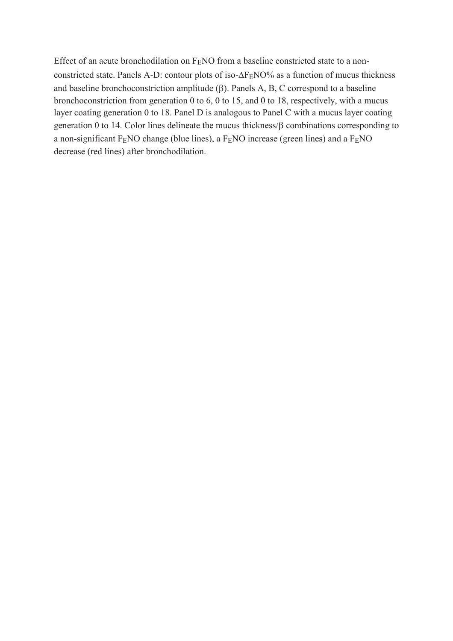Effect of an acute bronchodilation on  $F<sub>E</sub>NO$  from a baseline constricted state to a nonconstricted state. Panels A-D: contour plots of iso- $\Delta F_ENO%$  as a function of mucus thickness and baseline bronchoconstriction amplitude  $(\beta)$ . Panels A, B, C correspond to a baseline bronchoconstriction from generation 0 to 6, 0 to 15, and 0 to 18, respectively, with a mucus layer coating generation 0 to 18. Panel D is analogous to Panel C with a mucus layer coating generation 0 to 14. Color lines delineate the mucus thickness/ $\beta$  combinations corresponding to a non-significant  $F<sub>E</sub>NO$  change (blue lines), a  $F<sub>E</sub>NO$  increase (green lines) and a  $F<sub>E</sub>NO$ decrease (red lines) after bronchodilation.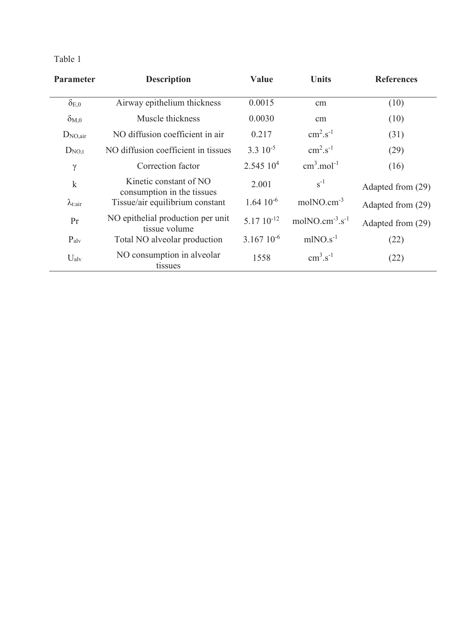| <b>Parameter</b>         | <b>Description</b>                                   | <b>Value</b>          | <b>Units</b>                         | <b>References</b> |
|--------------------------|------------------------------------------------------|-----------------------|--------------------------------------|-------------------|
| $\delta_{{\rm E},0}$     | Airway epithelium thickness                          | 0.0015                | cm                                   | (10)              |
| $\delta_{\rm M,0}$       | Muscle thickness                                     | 0.0030                | cm                                   | (10)              |
| $D_{NO,air}$             | NO diffusion coefficient in air                      | 0.217                 | $\text{cm}^2 \text{.} \text{s}^{-1}$ | (31)              |
| $D_{NO,t}$               | NO diffusion coefficient in tissues                  | $3.3 \times 10^{-5}$  | $\text{cm}^2 \text{.} \text{s}^{-1}$ | (29)              |
| $\gamma$                 | Correction factor                                    | $2.54510^{4}$         | $cm3$ .mol <sup>-1</sup>             | (16)              |
| $\mathbf k$              | Kinetic constant of NO<br>consumption in the tissues | 2.001                 | $s^{-1}$                             | Adapted from (29) |
| $\lambda_{\text{t:air}}$ | Tissue/air equilibrium constant                      | $1.64 \times 10^{-6}$ | $molNO.cm^{-3}$                      | Adapted from (29) |
| Pr                       | NO epithelial production per unit<br>tissue volume   | $5.1710^{-12}$        | $molNO.cm^{-3}.s^{-1}$               | Adapted from (29) |
| $P_{\rm alv}$            | Total NO alveolar production                         | $3.167\ 10^{-6}$      | $mINO.s-1$                           | (22)              |
| $U_{\rm alv}$            | NO consumption in alveolar<br>tissues                | 1558                  | $\text{cm}^3 \text{.} \text{s}^{-1}$ | (22)              |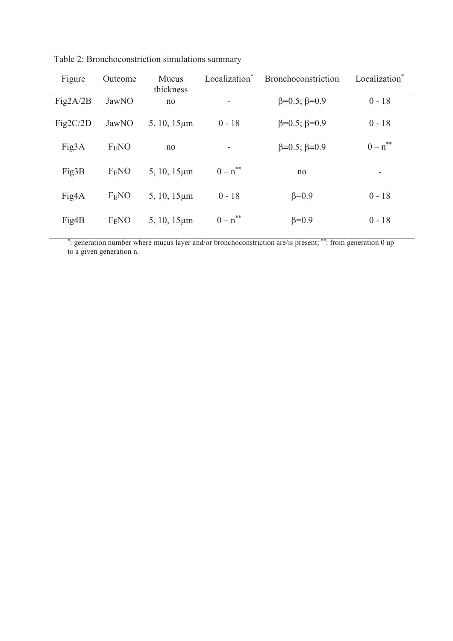| Figure   | Outcome           | Mucus<br>thickness | Localization* | Bronchoconstriction        | Localization <sup>*</sup> |
|----------|-------------------|--------------------|---------------|----------------------------|---------------------------|
| Fig2A/2B | JawNO             | no                 | ۰             | $\beta = 0.5; \beta = 0.9$ | $0 - 18$                  |
| Fig2C/2D | JawNO             | $5, 10, 15 \mu m$  | $0 - 18$      | $\beta = 0.5; \beta = 0.9$ | $0 - 18$                  |
| Fig3A    | F <sub>E</sub> NO | no                 | -             | $\beta = 0.5; \beta = 0.9$ | $0 - n^{**}$              |
| Fig3B    | F <sub>E</sub> NO | $5, 10, 15 \mu m$  | $0 - n^{**}$  | no                         | ۰                         |
| Fig4A    | F <sub>E</sub> NO | $5, 10, 15 \mu m$  | $0 - 18$      | $\beta = 0.9$              | $0 - 18$                  |
| Fig4B    | F <sub>E</sub> NO | $5, 10, 15 \mu m$  | $0 - n^{**}$  | $\beta = 0.9$              | $0 - 18$                  |

Table 2: Bronchoconstriction simulations summary

\* : generation number where mucus layer and/or bronchoconstriction are/is present; \*\*: from generation 0 up to a given generation n.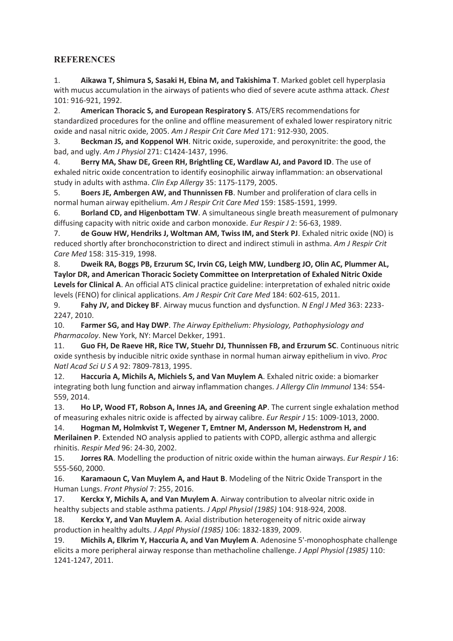# **REFERENCES**

1. **Aikawa T, Shimura S, Sasaki H, Ebina M, and Takishima T**. Marked goblet cell hyperplasia with mucus accumulation in the airways of patients who died of severe acute asthma attack. *Chest*  101: 916-921, 1992.

2. **American Thoracic S, and European Respiratory S**. ATS/ERS recommendations for standardized procedures for the online and offline measurement of exhaled lower respiratory nitric oxide and nasal nitric oxide, 2005. *Am J Respir Crit Care Med* 171: 912-930, 2005.

3. **Beckman JS, and Koppenol WH**. Nitric oxide, superoxide, and peroxynitrite: the good, the bad, and ugly. *Am J Physiol* 271: C1424-1437, 1996.

4. **Berry MA, Shaw DE, Green RH, Brightling CE, Wardlaw AJ, and Pavord ID**. The use of exhaled nitric oxide concentration to identify eosinophilic airway inflammation: an observational study in adults with asthma. *Clin Exp Allergy* 35: 1175-1179, 2005.

5. **Boers JE, Ambergen AW, and Thunnissen FB**. Number and proliferation of clara cells in normal human airway epithelium. *Am J Respir Crit Care Med* 159: 1585-1591, 1999.

6. **Borland CD, and Higenbottam TW**. A simultaneous single breath measurement of pulmonary diffusing capacity with nitric oxide and carbon monoxide. *Eur Respir J* 2: 56-63, 1989.

7. **de Gouw HW, Hendriks J, Woltman AM, Twiss IM, and Sterk PJ**. Exhaled nitric oxide (NO) is reduced shortly after bronchoconstriction to direct and indirect stimuli in asthma. *Am J Respir Crit Care Med* 158: 315-319, 1998.

8. **Dweik RA, Boggs PB, Erzurum SC, Irvin CG, Leigh MW, Lundberg JO, Olin AC, Plummer AL, Taylor DR, and American Thoracic Society Committee on Interpretation of Exhaled Nitric Oxide Levels for Clinical A**. An official ATS clinical practice guideline: interpretation of exhaled nitric oxide levels (FENO) for clinical applications. *Am J Respir Crit Care Med* 184: 602-615, 2011.

9. **Fahy JV, and Dickey BF**. Airway mucus function and dysfunction. *N Engl J Med* 363: 2233- 2247, 2010.

10. **Farmer SG, and Hay DWP**. *The Airway Epithelium: Physiology, Pathophysiology and Pharmacoloy*. New York, NY: Marcel Dekker, 1991.

11. **Guo FH, De Raeve HR, Rice TW, Stuehr DJ, Thunnissen FB, and Erzurum SC**. Continuous nitric oxide synthesis by inducible nitric oxide synthase in normal human airway epithelium in vivo. *Proc Natl Acad Sci U S A* 92: 7809-7813, 1995.

12. **Haccuria A, Michils A, Michiels S, and Van Muylem A**. Exhaled nitric oxide: a biomarker integrating both lung function and airway inflammation changes. *J Allergy Clin Immunol* 134: 554- 559, 2014.

13. **Ho LP, Wood FT, Robson A, Innes JA, and Greening AP**. The current single exhalation method of measuring exhales nitric oxide is affected by airway calibre. *Eur Respir J* 15: 1009-1013, 2000.

14. **Hogman M, Holmkvist T, Wegener T, Emtner M, Andersson M, Hedenstrom H, and Merilainen P**. Extended NO analysis applied to patients with COPD, allergic asthma and allergic rhinitis. *Respir Med* 96: 24-30, 2002.

15. **Jorres RA**. Modelling the production of nitric oxide within the human airways. *Eur Respir J* 16: 555-560, 2000.

16. **Karamaoun C, Van Muylem A, and Haut B**. Modeling of the Nitric Oxide Transport in the Human Lungs. *Front Physiol* 7: 255, 2016.

17. **Kerckx Y, Michils A, and Van Muylem A**. Airway contribution to alveolar nitric oxide in healthy subjects and stable asthma patients. *J Appl Physiol (1985)* 104: 918-924, 2008.

18. **Kerckx Y, and Van Muylem A**. Axial distribution heterogeneity of nitric oxide airway production in healthy adults. *J Appl Physiol (1985)* 106: 1832-1839, 2009.

19. **Michils A, Elkrim Y, Haccuria A, and Van Muylem A**. Adenosine 5'-monophosphate challenge elicits a more peripheral airway response than methacholine challenge. *J Appl Physiol (1985)* 110: 1241-1247, 2011.